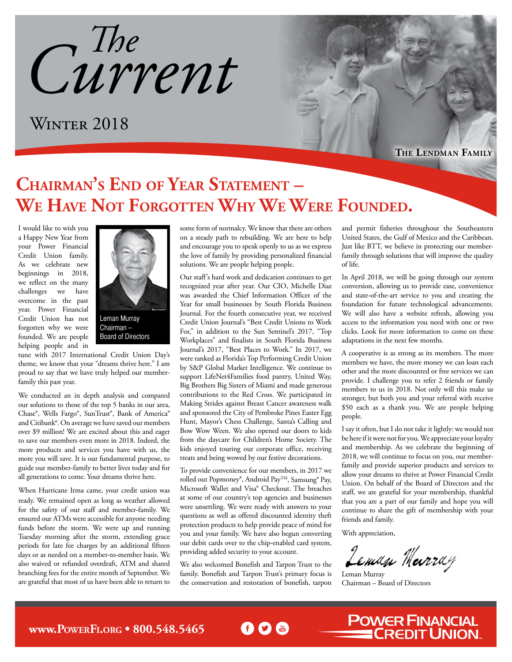*Current The*

WINTER 2018

**The Lendman Family**

## **Chairman's End of Year Statement – We Have Not Forgotten Why We Were Founded.**

I would like to wish you a Happy New Year from your Power Financial Credit Union family. As we celebrate new beginnings in 2018, we reflect on the many challenges we have overcome in the past year. Power Financial Credit Union has not forgotten why we were founded. We are people helping people and in



Chairman – Board of Directors

tune with 2017 International Credit Union Day's theme, we know that your "dreams thrive here." I am proud to say that we have truly helped our memberfamily this past year.

We conducted an in depth analysis and compared our solutions to those of the top 5 banks in our area, Chase®, Wells Fargo®, SunTrust®, Bank of America® and Citibank®. On average we have saved our members over \$9 million! We are excited about this and eager to save our members even more in 2018. Indeed, the more products and services you have with us, the more you will save. It is our fundamental purpose, to guide our member-family to better lives today and for all generations to come. Your dreams thrive here.

When Hurricane Irma came, your credit union was ready. We remained open as long as weather allowed for the safety of our staff and member-family. We ensured our ATMs were accessible for anyone needing funds before the storm. We were up and running Tuesday morning after the storm, extending grace periods for late fee charges by an additional fifteen days or as needed on a member-to-member basis. We also waived or refunded overdraft, ATM and shared branching fees for the entire month of September. We are grateful that most of us have been able to return to some form of normalcy. We know that there are others on a steady path to rebuilding. We are here to help and encourage you to speak openly to us as we express the love of family by providing personalized financial solutions. We are people helping people.

Our staff's hard work and dedication continues to get recognized year after year. Our CIO, Michelle Diaz was awarded the Chief Information Officer of the Year for small businesses by South Florida Business Journal. For the fourth consecutive year, we received Credit Union Journal's "Best Credit Unions to Work For," in addition to the Sun Sentinel's 2017, "Top Workplaces" and finalists in South Florida Business Journal's 2017, "Best Places to Work." In 2017, we were ranked as Florida's Top Performing Credit Union by S&P Global Market Intelligence. We continue to support LifeNet4Families food pantry, United Way, Big Brothers Big Sisters of Miami and made generous contributions to the Red Cross. We participated in Making Strides against Breast Cancer awareness walk and sponsored the City of Pembroke Pines Easter Egg Hunt, Mayor's Chess Challenge, Santa's Calling and Bow Wow Ween. We also opened our doors to kids from the daycare for Children's Home Society. The kids enjoyed touring our corporate office, receiving treats and being wowed by our festive decorations.

To provide convenience for our members, in 2017 we rolled out Popmoney®, Android PayTM, Samsung® Pay, Microsoft Wallet and Visa® Checkout. The breaches at some of our country's top agencies and businesses were unsettling. We were ready with answers to your questions as well as offered discounted identity theft protection products to help provide peace of mind for you and your family. We have also begun converting our debit cards over to the chip-enabled card system, providing added security to your account.

We also welcomed Bonefish and Tarpon Trust to the family. Bonefish and Tarpon Trust's primary focus is the conservation and restoration of bonefish, tarpon

60 m

and permit fisheries throughout the Southeastern United States, the Gulf of Mexico and the Caribbean. Just like BTT, we believe in protecting our memberfamily through solutions that will improve the quality of life.

In April 2018, we will be going through our system conversion, allowing us to provide ease, convenience and state-of-the-art service to you and creating the foundation for future technological advancements. We will also have a website refresh, allowing you access to the information you need with one or two clicks. Look for more information to come on these adaptations in the next few months.

A cooperative is as strong as its members. The more members we have, the more money we can loan each other and the more discounted or free services we can provide. I challenge you to refer 2 friends or family members to us in 2018. Not only will this make us stronger, but both you and your referral with receive \$50 each as a thank you. We are people helping people.

I say it often, but I do not take it lightly: we would not be here if it were not for you. We appreciate your loyalty and membership. As we celebrate the beginning of 2018, we will continue to focus on you, our memberfamily and provide superior products and services to allow your dreams to thrive at Power Financial Credit Union. On behalf of the Board of Directors and the staff, we are grateful for your membership, thankful that you are a part of our family and hope you will continue to share the gift of membership with your friends and family.

With appreciation,

Leman Murray

**POWER FINANCIAL<br>CREDIT UNION.** 

Leman Murray Chairman – Board of Directors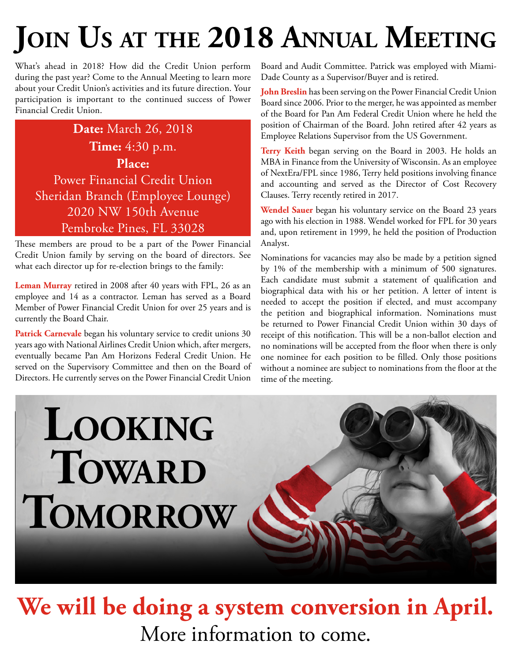# **Join Us at the 2018 Annual Meeting**

What's ahead in 2018? How did the Credit Union perform during the past year? Come to the Annual Meeting to learn more about your Credit Union's activities and its future direction. Your participation is important to the continued success of Power Financial Credit Union.

**Date:** March 26, 2018 **Time:** 4:30 p.m. **Place:** Power Financial Credit Union Sheridan Branch (Employee Lounge) 2020 NW 150th Avenue Pembroke Pines, FL 33028

These members are proud to be a part of the Power Financial Credit Union family by serving on the board of directors. See what each director up for re-election brings to the family:

**Leman Murray** retired in 2008 after 40 years with FPL, 26 as an employee and 14 as a contractor. Leman has served as a Board Member of Power Financial Credit Union for over 25 years and is currently the Board Chair.

**Patrick Carnevale** began his voluntary service to credit unions 30 years ago with National Airlines Credit Union which, after mergers, eventually became Pan Am Horizons Federal Credit Union. He served on the Supervisory Committee and then on the Board of Directors. He currently serves on the Power Financial Credit Union

Board and Audit Committee. Patrick was employed with Miami-Dade County as a Supervisor/Buyer and is retired.

**John Breslin** has been serving on the Power Financial Credit Union Board since 2006. Prior to the merger, he was appointed as member of the Board for Pan Am Federal Credit Union where he held the position of Chairman of the Board. John retired after 42 years as Employee Relations Supervisor from the US Government.

**Terry Keith** began serving on the Board in 2003. He holds an MBA in Finance from the University of Wisconsin. As an employee of NextEra/FPL since 1986, Terry held positions involving finance and accounting and served as the Director of Cost Recovery Clauses. Terry recently retired in 2017.

**Wendel Sauer** began his voluntary service on the Board 23 years ago with his election in 1988. Wendel worked for FPL for 30 years and, upon retirement in 1999, he held the position of Production Analyst.

Nominations for vacancies may also be made by a petition signed by 1% of the membership with a minimum of 500 signatures. Each candidate must submit a statement of qualification and biographical data with his or her petition. A letter of intent is needed to accept the position if elected, and must accompany the petition and biographical information. Nominations must be returned to Power Financial Credit Union within 30 days of receipt of this notification. This will be a non-ballot election and no nominations will be accepted from the floor when there is only one nominee for each position to be filled. Only those positions without a nominee are subject to nominations from the floor at the time of the meeting.

# **Looking TOWARD Tomorrow**



# **We will be doing a system conversion in April.** More information to come.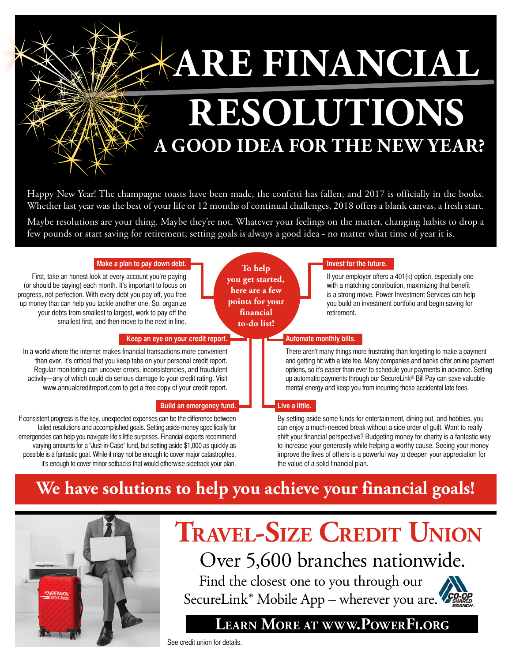

Happy New Year! The champagne toasts have been made, the confetti has fallen, and 2017 is officially in the books. Whether last year was the best of your life or 12 months of continual challenges, 2018 offers a blank canvas, a fresh start.

Maybe resolutions are your thing. Maybe they're not. Whatever your feelings on the matter, changing habits to drop a few pounds or start saving for retirement, setting goals is always a good idea - no matter what time of year it is.

| Make a plan to pay down debt.<br>First, take an honest look at every account you're paying<br>(or should be paying) each month. It's important to focus on<br>progress, not perfection. With every debt you pay off, you free<br>up money that can help you tackle another one. So, organize<br>your debts from smallest to largest, work to pay off the<br>smallest first, and then move to the next in line.                                                                                                                    | To help<br>you get started,<br>here are a few<br>points for your<br>financial<br>to-do list! | Invest for the future.<br>If your employer offers a 401(k) option, especially one<br>with a matching contribution, maximizing that benefit<br>is a strong move. Power Investment Services can help<br>you build an investment portfolio and begin saving for<br>retirement.                                                                                                                                                                            |
|-----------------------------------------------------------------------------------------------------------------------------------------------------------------------------------------------------------------------------------------------------------------------------------------------------------------------------------------------------------------------------------------------------------------------------------------------------------------------------------------------------------------------------------|----------------------------------------------------------------------------------------------|--------------------------------------------------------------------------------------------------------------------------------------------------------------------------------------------------------------------------------------------------------------------------------------------------------------------------------------------------------------------------------------------------------------------------------------------------------|
| Keep an eye on your credit report.<br>In a world where the internet makes financial transactions more convenient<br>than ever, it's critical that you keep tabs on your personal credit report.<br>Regular monitoring can uncover errors, inconsistencies, and fraudulent<br>activity-any of which could do serious damage to your credit rating. Visit<br>www.annualcreditreport.com to get a free copy of your credit report.<br><b>Build an emergency fund.</b>                                                                | Live a little.                                                                               | Automate monthly bills.<br>There aren't many things more frustrating than forgetting to make a payment<br>and getting hit with a late fee. Many companies and banks offer online payment<br>options, so it's easier than ever to schedule your payments in advance. Setting<br>up automatic payments through our SecureLink® Bill Pay can save valuable<br>mental energy and keep you from incurring those accidental late fees.                       |
| If consistent progress is the key, unexpected expenses can be the difference between<br>failed resolutions and accomplished goals. Setting aside money specifically for<br>emergencies can help you navigate life's little surprises. Financial experts recommend<br>varying amounts for a "Just-in-Case" fund, but setting aside \$1,000 as quickly as<br>possible is a fantastic goal. While it may not be enough to cover major catastrophes,<br>it's enough to cover minor setbacks that would otherwise sidetrack your plan. |                                                                                              | By setting aside some funds for entertainment, dining out, and hobbies, you<br>can enjoy a much-needed break without a side order of guilt. Want to really<br>shift your financial perspective? Budgeting money for charity is a fantastic way<br>to increase your generosity while helping a worthy cause. Seeing your money<br>improve the lives of others is a powerful way to deepen your appreciation for<br>the value of a solid financial plan. |
|                                                                                                                                                                                                                                                                                                                                                                                                                                                                                                                                   |                                                                                              | We have solutions to help you achieve your financial goals!                                                                                                                                                                                                                                                                                                                                                                                            |



## **Travel-Size Credit Union** Over 5,600 branches nationwide.

Find the closest one to you through our [SecureLink® Mobile App](https://www.powerfi.org/personal-accounts/personal-online-services/) – wherever you are.



#### **Learn More at [www.PowerFi.org](https://www.powerfi.org/)**

See credit union for details.